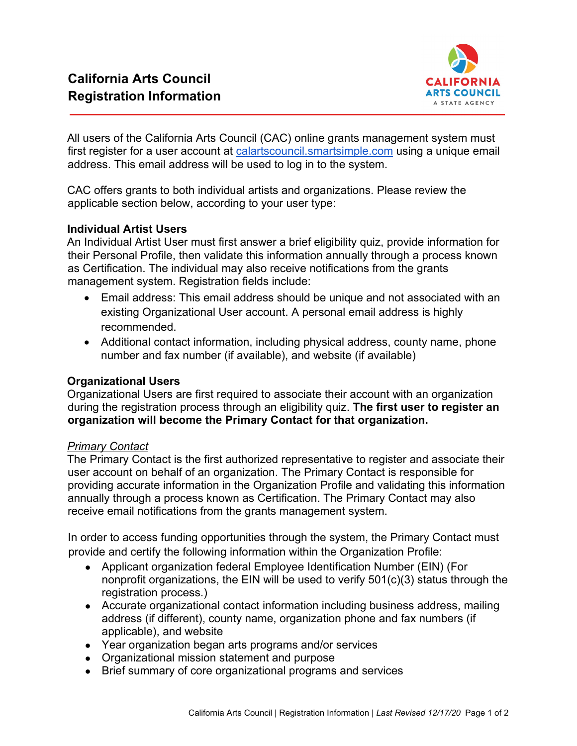

All users of the California Arts Council (CAC) online grants management system must first register for a user account [at](https://calartscouncil.smartsimple.com/) [calartscouncil.smartsimple.com](https://calartscouncil.smartsimple.com/) [u](https://calartscouncil.smartsimple.com/)sing a unique email address. This email address will be used to log in to the system.

CAC offers grants to both individual artists and organizations. Please review the applicable section below, according to your user type:

# **Individual Artist Users**

An Individual Artist User must first answer a brief eligibility quiz, provide information for their Personal Profile, then validate this information annually through a process known as Certification. The individual may also receive notifications from the grants management system. Registration fields include:

- Email address: This email address should be unique and not associated with an existing Organizational User account. A personal email address is highly recommended.
- Additional contact information, including physical address, county name, phone number and fax number (if available), and website (if available)

# **Organizational Users**

Organizational Users are first required to associate their account with an organization during the registration process through an eligibility quiz. **The first user to register an organization will become the Primary Contact for that organization.** 

# *Primary Contact*

The Primary Contact is the first authorized representative to register and associate their user account on behalf of an organization. The Primary Contact is responsible for providing accurate information in the Organization Profile and validating this information annually through a process known as Certification. The Primary Contact may also receive email notifications from the grants management system.

In order to access funding opportunities through the system, the Primary Contact must provide and certify the following information within the Organization Profile:

- Applicant organization federal Employee Identification Number (EIN) (For nonprofit organizations, the EIN will be used to verify 501(c)(3) status through the registration process.)
- Accurate organizational contact information including business address, mailing address (if different), county name, organization phone and fax numbers (if applicable), and website
- Year organization began arts programs and/or services
- Organizational mission statement and purpose
- Brief summary of core organizational programs and services